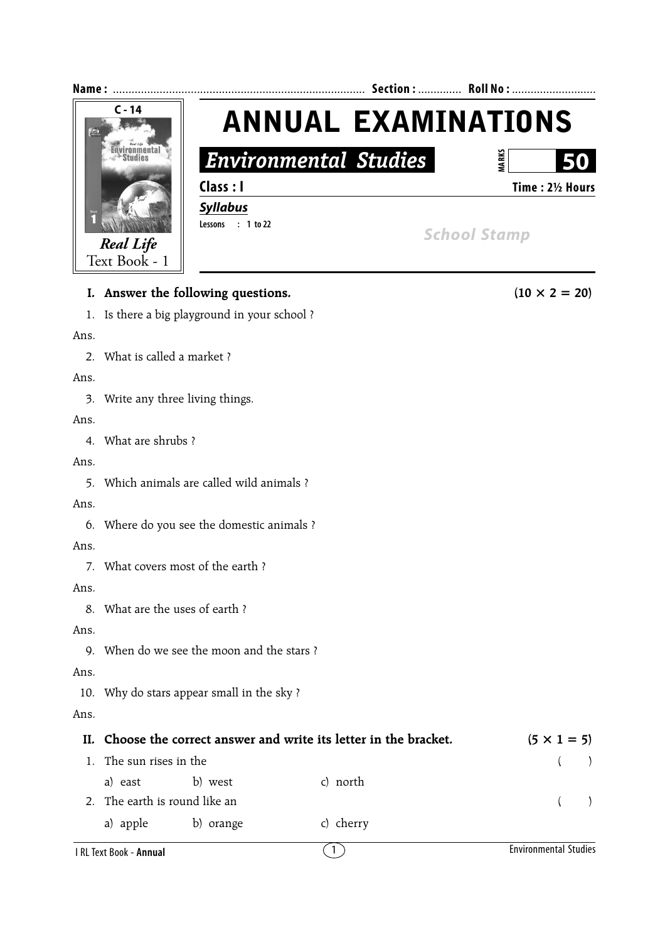

Ans.

8. What are the uses of earth ?

Ans.

9. When do we see the moon and the stars ?

Ans.

10. Why do stars appear small in the sky ?

Ans.

|                               | II. Choose the correct answer and write its letter in the bracket. | $(5 \times 1 = 5)$ |            |  |  |
|-------------------------------|--------------------------------------------------------------------|--------------------|------------|--|--|
| The sun rises in the          |                                                                    |                    |            |  |  |
| a) east                       | b) west                                                            | c) north           |            |  |  |
| 2. The earth is round like an |                                                                    |                    | $\sqrt{2}$ |  |  |
| a) apple                      | b) orange                                                          | c) cherry          |            |  |  |